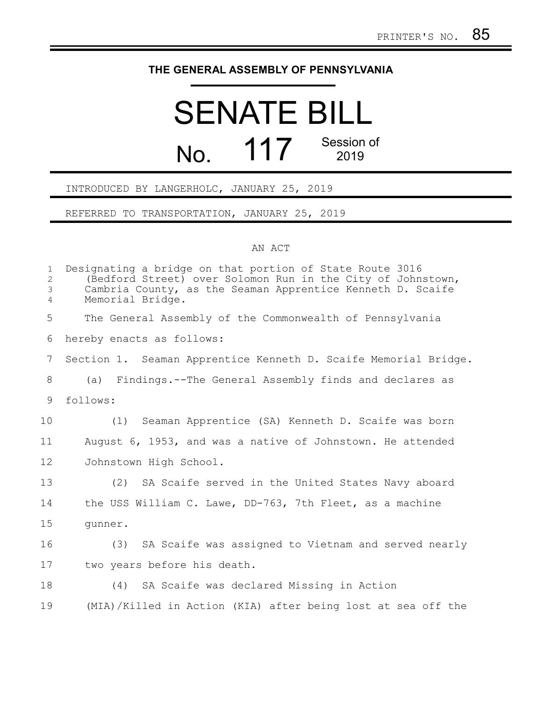## **THE GENERAL ASSEMBLY OF PENNSYLVANIA**

## SENATE BILL No. 117 Session of 2019

INTRODUCED BY LANGERHOLC, JANUARY 25, 2019

REFERRED TO TRANSPORTATION, JANUARY 25, 2019

## AN ACT

| $\mathbf{1}$<br>$\overline{c}$<br>3<br>$\overline{4}$ | Designating a bridge on that portion of State Route 3016<br>(Bedford Street) over Solomon Run in the City of Johnstown,<br>Cambria County, as the Seaman Apprentice Kenneth D. Scaife<br>Memorial Bridge. |
|-------------------------------------------------------|-----------------------------------------------------------------------------------------------------------------------------------------------------------------------------------------------------------|
| 5                                                     | The General Assembly of the Commonwealth of Pennsylvania                                                                                                                                                  |
| 6                                                     | hereby enacts as follows:                                                                                                                                                                                 |
| $7\phantom{.0}$                                       | Section 1. Seaman Apprentice Kenneth D. Scaife Memorial Bridge.                                                                                                                                           |
| 8                                                     | (a) Findings.--The General Assembly finds and declares as                                                                                                                                                 |
| 9                                                     | follows:                                                                                                                                                                                                  |
| 10                                                    | (1) Seaman Apprentice (SA) Kenneth D. Scaife was born                                                                                                                                                     |
| 11                                                    | August 6, 1953, and was a native of Johnstown. He attended                                                                                                                                                |
| 12                                                    | Johnstown High School.                                                                                                                                                                                    |
| 13                                                    | (2) SA Scaife served in the United States Navy aboard                                                                                                                                                     |
| 14                                                    | the USS William C. Lawe, DD-763, 7th Fleet, as a machine                                                                                                                                                  |
| 15                                                    | qunner.                                                                                                                                                                                                   |
| 16                                                    | (3) SA Scaife was assigned to Vietnam and served nearly                                                                                                                                                   |
| 17                                                    | two years before his death.                                                                                                                                                                               |
| 18                                                    | (4) SA Scaife was declared Missing in Action                                                                                                                                                              |
| 19                                                    | (MIA)/Killed in Action (KIA) after being lost at sea off the                                                                                                                                              |